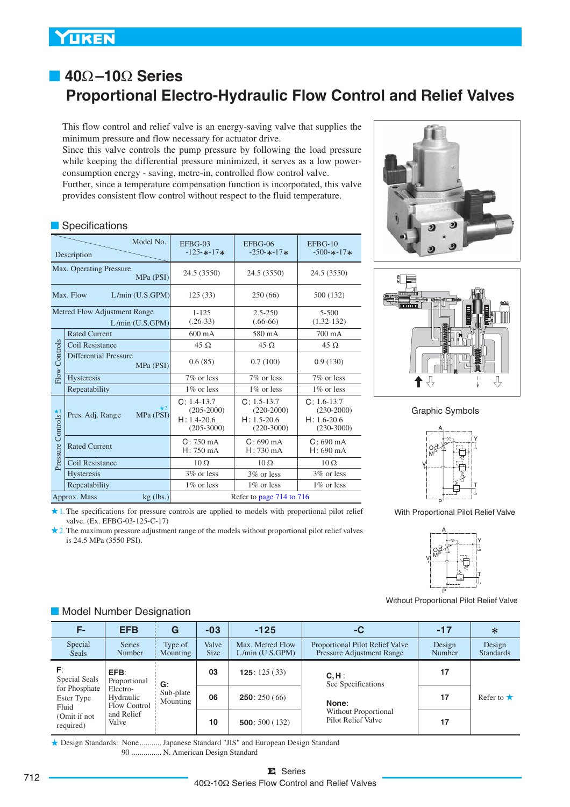# ■ **40**Ω**–10**Ω **Series Proportional Electro-Hydraulic Flow Control and Relief Valves**

This flow control and relief valve is an energy-saving valve that supplies the minimum pressure and flow necessary for actuator drive.

Since this valve controls the pump pressure by following the load pressure while keeping the differential pressure minimized, it serves as a low powerconsumption energy - saving, metre-in, controlled flow control valve. Further, since a temperature compensation function is incorporated, this valve provides consistent flow control without respect to the fluid temperature.

### **Specifications**

| Model No.<br>Description                        |                                            | $EFBG-03$<br>$-125 - * -17$ *                                        | $EFBG-06$<br>$-250 - * -17$ *                                      | $EFBG-10$<br>$-500 - * -17$ *                                      |
|-------------------------------------------------|--------------------------------------------|----------------------------------------------------------------------|--------------------------------------------------------------------|--------------------------------------------------------------------|
| Max. Operating Pressure<br>MPa (PSI)            |                                            | 24.5 (3550)                                                          | 24.5 (3550)                                                        | 24.5 (3550)                                                        |
| Max. Flow<br>L/min (U.S.GPM)                    |                                            | 125(33)                                                              | 250 (66)                                                           | 500 (132)                                                          |
| Metred Flow Adjustment Range<br>L/min (U.S.GPM) |                                            | $1 - 125$<br>$(.26-33)$                                              | $2.5 - 250$<br>$(.66-66)$                                          | $5 - 500$<br>$(1.32 - 132)$                                        |
|                                                 | <b>Rated Current</b>                       | $600 \text{ mA}$                                                     | 580 mA                                                             | $700 \text{ mA}$                                                   |
|                                                 | Coil Resistance                            | 45 $\Omega$                                                          | $45 \Omega$                                                        | $45 \Omega$                                                        |
| Flow Controls                                   | <b>Differential Pressure</b><br>MPa (PSI)  | 0.6(85)                                                              | 0.7(100)                                                           | 0.9(130)                                                           |
|                                                 | Hysteresis                                 | 7\% or less                                                          | 7\% or less                                                        | 7\% or less                                                        |
|                                                 | Repeatability                              | $1\%$ or less                                                        | $1\%$ or less                                                      | $1\%$ or less                                                      |
| Pressure Controls                               | $\star$ 2<br>Pres. Adj. Range<br>MPa (PSI) | $C: 1.4-13.7$<br>$(205 - 2000)$<br>$H: 1.4 - 20.6$<br>$(205 - 3000)$ | $C: 1.5 - 13.7$<br>$(220-2000)$<br>$H: 1.5 - 20.6$<br>$(220-3000)$ | $C: 1.6 - 13.7$<br>$(230-2000)$<br>$H: 1.6 - 20.6$<br>$(230-3000)$ |
|                                                 | <b>Rated Current</b>                       | $C: 750 \text{ mA}$<br>$H: 750 \text{ mA}$                           | $C: 690 \text{ mA}$<br>$H: 730 \text{ mA}$                         | $C: 690 \text{ mA}$<br>$H: 690 \text{ mA}$                         |
|                                                 | Coil Resistance                            | $10\Omega$                                                           | $10\,\Omega$                                                       | $10 \Omega$                                                        |
|                                                 | <b>Hysteresis</b>                          | $3\%$ or less                                                        | 3\% or less                                                        | 3\% or less                                                        |
|                                                 | Repeatability                              | 1\% or less                                                          | $1\%$ or less                                                      | 1\% or less                                                        |
|                                                 | Approx. Mass<br>$kg$ (lbs.)                |                                                                      | Refer to page 714 to 716                                           |                                                                    |





Graphic Symbols



With Proportional Pilot Relief Valve



Without Proportional Pilot Relief Valve

2. The maximum pressure adjustment range of the models without proportional pilot relief valves is 24.5 MPa (3550 PSI).

1. The specifications for pressure controls are applied to models with proportional pilot relief

| F-                                   | <b>EFB</b>                            | G                     | $-03$                | $-125$                              | -C                                                           | $-17$            | $\ast$                     |
|--------------------------------------|---------------------------------------|-----------------------|----------------------|-------------------------------------|--------------------------------------------------------------|------------------|----------------------------|
| Special<br>Seals                     | <b>Series</b><br>Number               | Type of<br>Mounting   | Valve<br><b>Size</b> | Max. Metred Flow<br>L/min (U.S.GPM) | Proportional Pilot Relief Valve<br>Pressure Adjustment Range | Design<br>Number | Design<br><b>Standards</b> |
| F:<br>Special Seals                  | EFB:<br>Proportional                  | G:                    | 03                   | <b>125</b> : $125(33)$              | $C, H$ :<br>See Specifications                               | 17               |                            |
| for Phosphate<br>Ester Type<br>Fluid | Electro-<br>Hydraulic<br>Flow Control | Sub-plate<br>Mounting | 06                   | 250:250(66)                         | None:                                                        | 17               | Refer to $\star$           |
| (Omit if not<br>required)            | and Relief<br>Valve                   |                       | 10                   | 500:500(132)                        | Without Proportional<br>Pilot Relief Valve                   | 17               |                            |

Design Standards: None ........... Japanese Standard "JIS" and European Design Standard 90 N. American Design Standard ...............

### **Model Number Designation**

valve. (Ex. EFBG-03-125-C-17)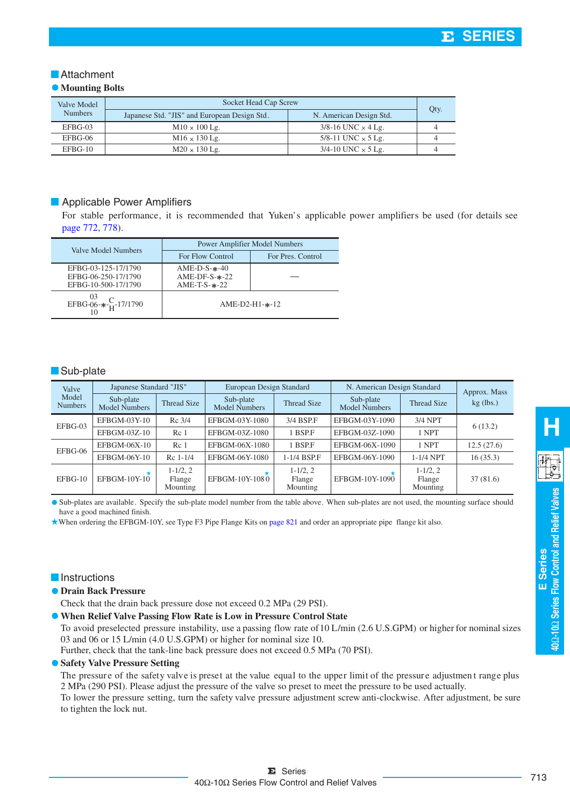### **Attachment**

### $\bullet$  Mounting Bolts

| Valve Model    | Socket Head Cap Screw                        |                               |  |
|----------------|----------------------------------------------|-------------------------------|--|
| <b>Numbers</b> | Japanese Std. "JIS" and European Design Std. | N. American Design Std.       |  |
| EFBG-03        | $M10 \times 100$ Lg.                         | $3/8$ -16 UNC $\times$ 4 Lg.  |  |
| EFBG-06        | $M16 \times 130$ Lg.                         | 5/8-11 UNC $\times$ 5 Lg.     |  |
| EFBG-10        | $M20 \times 130$ Lg.                         | $3/4 - 10$ UNC $\times$ 5 Lg. |  |

### **Applicable Power Amplifiers**

For stable performance, it is recommended that Yuken's applicable power amplifiers be used (for details see page 772, 778).

| Valve Model Numbers                                               | <b>Power Amplifier Model Numbers</b>                     |                   |  |  |
|-------------------------------------------------------------------|----------------------------------------------------------|-------------------|--|--|
|                                                                   | For Flow Control                                         | For Pres. Control |  |  |
| EFBG-03-125-17/1790<br>EFBG-06-250-17/1790<br>EFBG-10-500-17/1790 | $AME-D-S-*-40$<br>$AME-DF-S-*-22$<br>AME-T-S- $\ast$ -22 |                   |  |  |
| EFBG-06- $\ast$ - $\frac{C}{H}$ -17/1790                          | $AME-D2-H1-*-12$                                         |                   |  |  |

#### **Sub-plate**

| Valve                   | Japanese Standard "JIS"           |                                    | European Design Standard          |                                    | N. American Design Standard       |                                    | Approx. Mass |
|-------------------------|-----------------------------------|------------------------------------|-----------------------------------|------------------------------------|-----------------------------------|------------------------------------|--------------|
| Model<br><b>Numbers</b> | Sub-plate<br><b>Model Numbers</b> | <b>Thread Size</b>                 | Sub-plate<br><b>Model Numbers</b> | Thread Size                        | Sub-plate<br><b>Model Numbers</b> | <b>Thread Size</b>                 | $kg$ (lbs.)  |
| EFBG-03                 | EFBGM-03Y-10                      | Rc 3/4                             | EFBGM-03Y-1080                    | 3/4 BSP.F                          | EFBGM-03Y-1090                    | $3/4$ NPT                          | 6(13.2)      |
|                         | EFBGM-03Z-10                      | Rc <sub>1</sub>                    | EFBGM-03Z-1080                    | 1 BSP.F                            | EFBGM-03Z-1090                    | 1 NPT                              |              |
| EFBG-06                 | EFBGM-06X-10                      | Rc <sub>1</sub>                    | EFBGM-06X-1080                    | 1 BSP.F                            | EFBGM-06X-1090                    | 1 NPT                              | 12.5(27.6)   |
|                         | EFBGM-06Y-10                      | $Rc$ 1-1/4                         | EFBGM-06Y-1080                    | 1-1/4 BSP.F                        | EFBGM-06Y-1090                    | $1-1/4$ NPT                        | 16(35.3)     |
| EFBG-10                 | $EFBGM-10Y-10$                    | $1 - 1/2, 2$<br>Flange<br>Mounting | EFBGM-10Y-1080                    | $1 - 1/2, 2$<br>Flange<br>Mounting | EFBGM-10Y-1090                    | $1 - 1/2, 2$<br>Flange<br>Mounting | 37(81.6)     |

Sub-plates are available. Specify the sub-plate model number from the table above. When sub-plates are not used, the mounting surface should have a good machined finish.

When ordering the EFBGM-10Y, see Type F3 Pipe Flange Kits on page 821 and order an appropriate pipe flange kit also.

#### **Instructions**

#### **Drain Back Pressure**

Check that the drain back pressure dose not exceed 0.2 MPa (29 PSI).

#### **When Relief Valve Passing Flow Rate is Low in Pressure Control State**

To avoid preselected pressure instability, use a passing flow rate of 10 L/min (2.6 U.S.GPM) or higher for nominal sizes 03 and 06 or 15 L/min (4.0 U.S.GPM) or higher for nominal size 10.

Further, check that the tank-line back pressure does not exceed 0.5 MPa (70 PSI).

#### **• Safety Valve Pressure Setting**

The pressure of the safety valve is preset at the value equal to the upper limit of the pressure adjustmen t range plus 2 MPa (290 PSI). Please adjust the pressure of the valve so preset to meet the pressure to be used actually.

To lower the pressure setting, turn the safety valve pressure adjustment screw anti-clockwise. After adjustment, be sure to tighten the lock nut.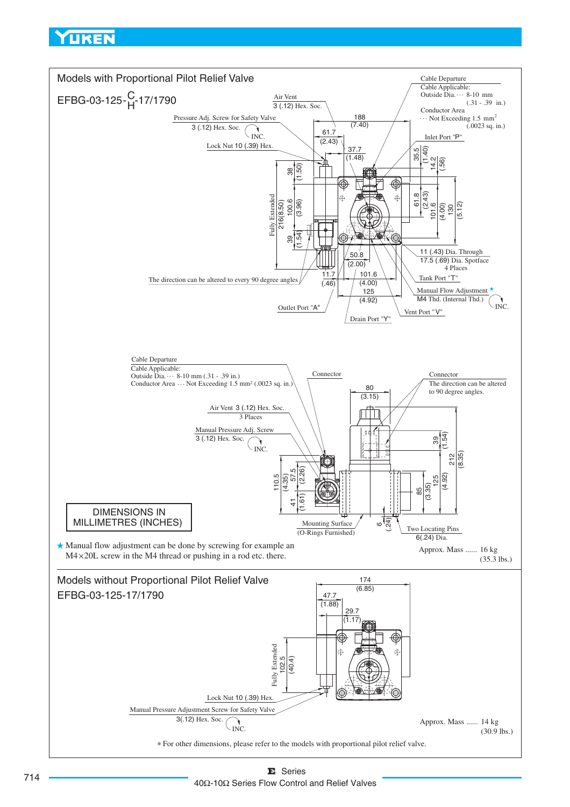<span id="page-2-0"></span>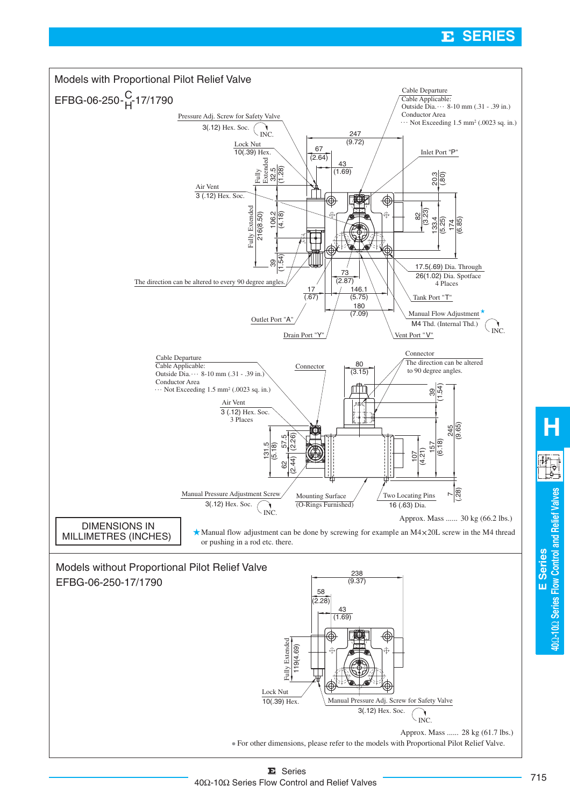#### E. **SERIES**



**E Series**

**40** Ω**-10** Ω

**Series Flow Control and Relief Valves**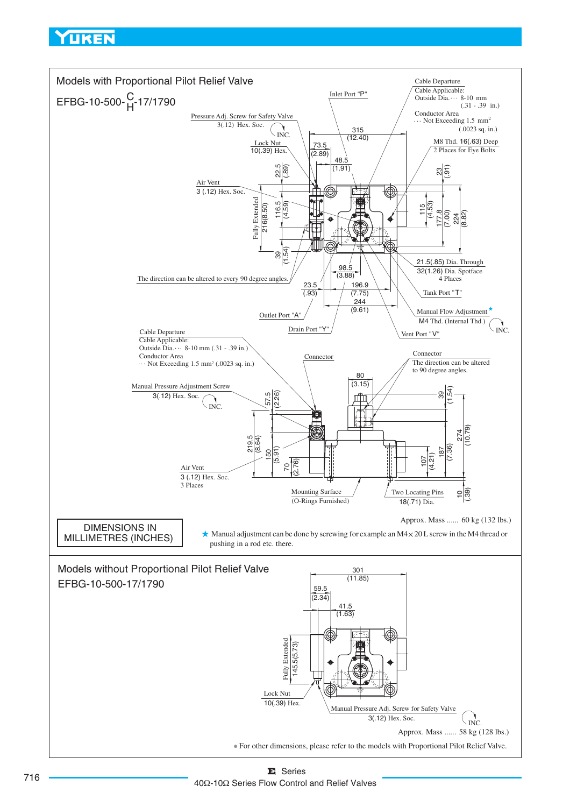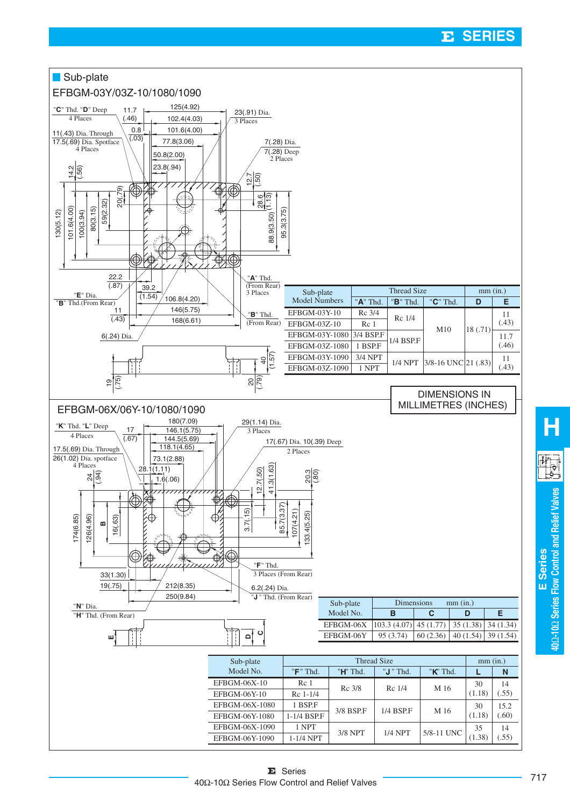## ${\bf E}$  SERIES



**40** Ω**-10** Ω

**Series Flow Control and Relief Valves**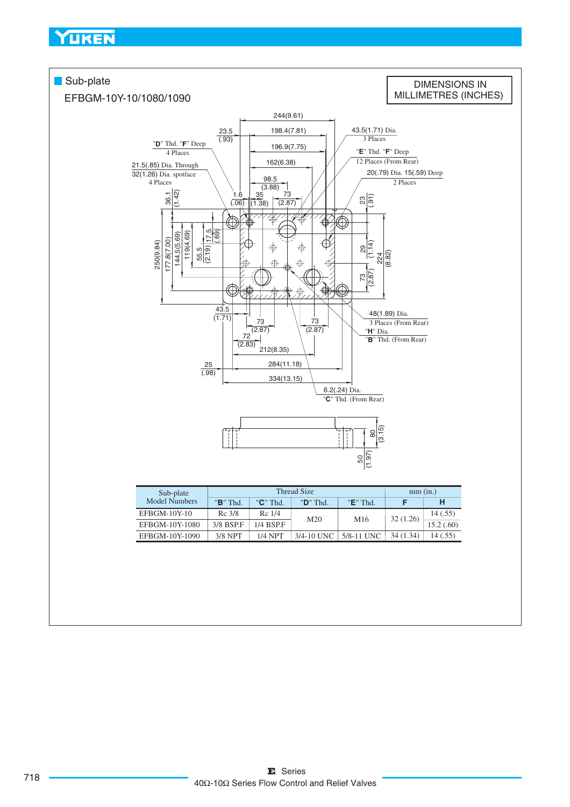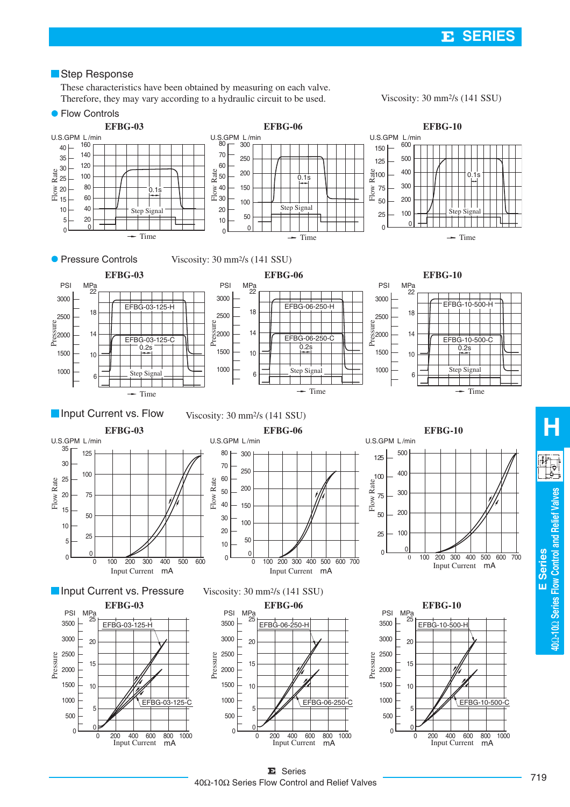### **Step Response**

Therefore, they may vary according to a hydraulic circuit to be used. These characteristics have been obtained by measuring on each valve.

Viscosity: 30 mm2/s (141 SSU)



**E Series**

 Ω**-10** Ω

**Series Flow Control and Relief Valves**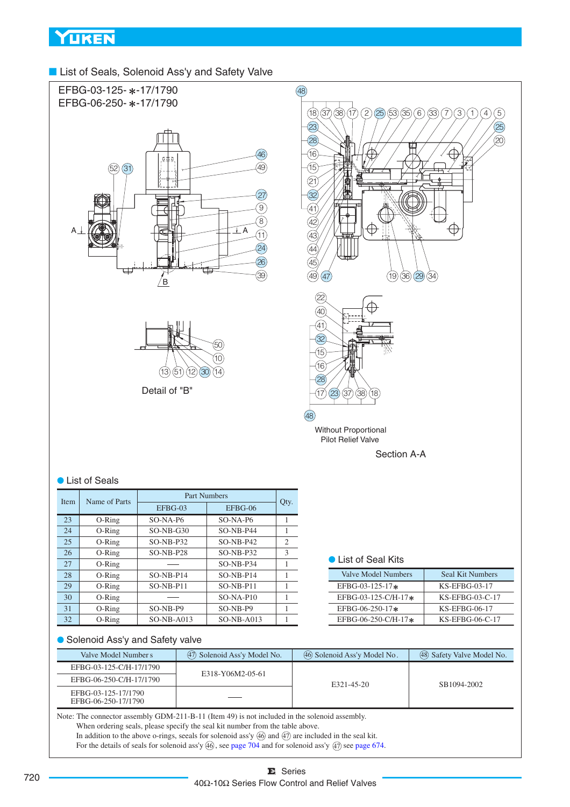■ List of Seals, Solenoid Ass'y and Safety Valve



| <b>Item</b> |    | Name of Parts |              | Part Numbers |                |
|-------------|----|---------------|--------------|--------------|----------------|
|             |    |               | EFBG-03      | EFBG-06      | Qty.           |
|             | 23 | O-Ring        | $SO-NA-PG$   | $SO-NA-PG$   | 1              |
|             | 24 | O-Ring        | $SO-NB-G30$  | $SO-NB-P44$  | 1              |
|             | 25 | O-Ring        | $SO-NB-P32$  | $SO-NB-P42$  | $\overline{c}$ |
|             | 26 | $O-Ring$      | $SO-NB- P28$ | $SO-NB-P32$  | 3              |
|             | 27 | $O-Ring$      |              | $SO-NB-P34$  | 1              |
|             | 28 | O-Ring        | $SO-NB-P14$  | $SO-NB-P14$  | 1              |
|             | 29 | $O-Ring$      | $SO-NB-PI1$  | $SO-NB-PI1$  | 1              |
|             | 30 | O-Ring        |              | $SO-NA-P10$  | 1              |
|             | 31 | $O-Ring$      | $SO-NB-P9$   | SO-NB-P9     | 1              |
|             | 32 | O-Ring        | $SO-NB-AO13$ | $SO-NB-AO13$ |                |

## ● List of Seal Kits

| Valve Model Numbers    | Seal Kit Numbers   |  |
|------------------------|--------------------|--|
| EFBG-03-125-17 $*$     | $KS$ -EFBG-03-17   |  |
| EFBG-03-125-C/H-17 $*$ | $KS$ -EFBG-03-C-17 |  |
| EFBG-06-250-17 $*$     | KS-EFBG-06-17      |  |
| EFBG-06-250-C/H-17*    | $KS$ -EFBG-06-C-17 |  |

#### ● Solenoid Ass'y and Safety valve

| Valve Model Numbers                        | (47) Solenoid Ass'y Model No. | (46) Solenoid Ass'y Model No. | (48) Safety Valve Model No. |  |
|--------------------------------------------|-------------------------------|-------------------------------|-----------------------------|--|
| EFBG-03-125-C/H-17/1790                    | E318-Y06M2-05-61              |                               |                             |  |
| EFBG-06-250-C/H-17/1790                    |                               | E321-45-20                    | SB1094-2002                 |  |
| EFBG-03-125-17/1790<br>EFBG-06-250-17/1790 |                               |                               |                             |  |

In addition to the above o-rings, seeals for solenoid ass'y  $(46)$  and  $(47)$  are included in the seal kit. For the details of seals for solenoid ass'y  $(46)$ , see page 704 and for solenoid ass'y  $(47)$  see page 674. Note: The connector assembly GDM-211-B-11 (Item 49) is not included in the solenoid assembly. When ordering seals, please specify the seal kit number from the table above.